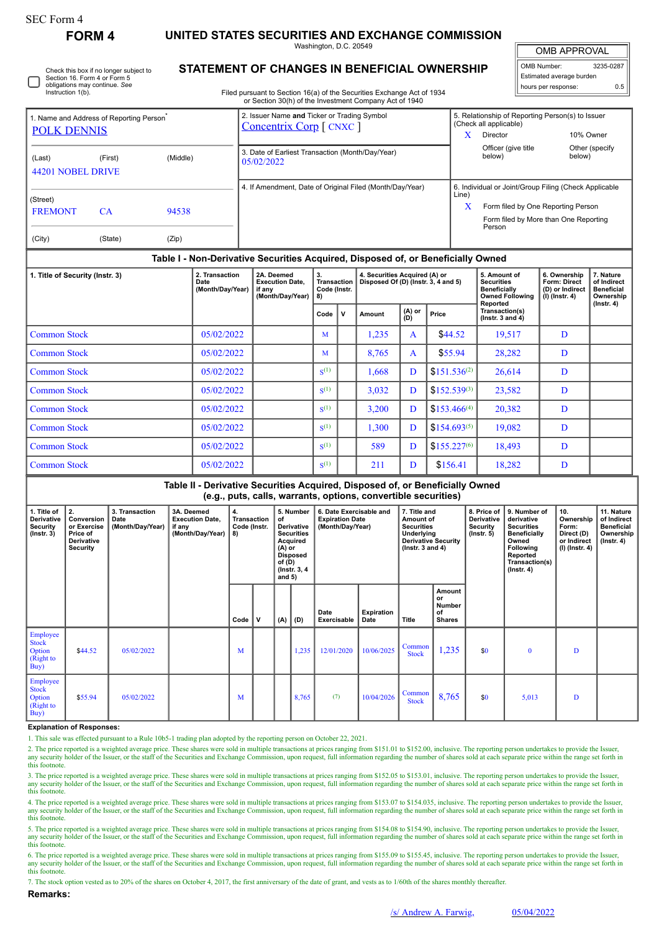# **FORM 4 UNITED STATES SECURITIES AND EXCHANGE COMMISSION**

Washington, D.C. 20549

 $\mathbb{I}$ OMB APPROVAL

| OMB Number:              | 3235-0287 |  |  |  |  |  |  |  |  |
|--------------------------|-----------|--|--|--|--|--|--|--|--|
| Estimated average burden |           |  |  |  |  |  |  |  |  |
| hours per response:      | 0 F       |  |  |  |  |  |  |  |  |

Check this box if no longer subject to Section 16. Form 4 or Form 5 obligations may continue. *See* Instruction 1(b)

## **STATEMENT OF CHANGES IN BENEFICIAL OWNERSHIP**

Filed pursuant to Section 16(a) of the Securities Exchange Act of 1934 or Section 30(h) of the Investment Company Act of 1940

| 1. Name and Address of Reporting Person <sup>®</sup><br><b>POLK DENNIS</b>       |         |       | 2. Issuer Name and Ticker or Trading Symbol<br><b>Concentrix Corp</b> [ CNXC ] |            | 5. Relationship of Reporting Person(s) to Issuer<br>(Check all applicable) |                          |  |  |  |  |
|----------------------------------------------------------------------------------|---------|-------|--------------------------------------------------------------------------------|------------|----------------------------------------------------------------------------|--------------------------|--|--|--|--|
|                                                                                  |         |       |                                                                                | x          | Director                                                                   | 10% Owner                |  |  |  |  |
| (Middle)<br>(Last)<br>(First)<br>44201 NOBEL DRIVE                               |         |       | 3. Date of Earliest Transaction (Month/Day/Year)<br>05/02/2022                 |            | Officer (give title<br>below)                                              | Other (specify<br>below) |  |  |  |  |
|                                                                                  |         |       | 4. If Amendment, Date of Original Filed (Month/Day/Year)                       |            | 6. Individual or Joint/Group Filing (Check Applicable                      |                          |  |  |  |  |
| (Street)<br><b>FREMONT</b>                                                       | CA.     | 94538 |                                                                                | Line)<br>Х | Form filed by One Reporting Person                                         |                          |  |  |  |  |
| (City)                                                                           | (State) | (Zip) |                                                                                |            | Form filed by More than One Reporting<br>Person                            |                          |  |  |  |  |
| Table I - Non-Derivative Securities Acquired, Disposed of, or Beneficially Owned |         |       |                                                                                |            |                                                                            |                          |  |  |  |  |

### **Table I - Non-Derivative Securities Acquired, Disposed of, or Beneficially Owned**

| 1. Title of Security (Instr. 3) | 2. Transaction<br>Date<br>(Month/Day/Year) | 2A. Deemed<br><b>Execution Date,</b><br>if any<br>(Month/Day/Year) | 3.<br>8)           | 4. Securities Acquired (A) or<br>Disposed Of (D) (Instr. 3, 4 and 5)<br><b>Transaction</b><br>Code (Instr. |        | 5. Amount of<br><b>Securities</b><br><b>Beneficially</b><br><b>Owned Following</b> | 6. Ownership<br><b>Form: Direct</b><br>(D) or Indirect<br>(I) (Instr. 4) | 7. Nature<br>of Indirect<br><b>Beneficial</b><br>Ownership |   |                  |
|---------------------------------|--------------------------------------------|--------------------------------------------------------------------|--------------------|------------------------------------------------------------------------------------------------------------|--------|------------------------------------------------------------------------------------|--------------------------------------------------------------------------|------------------------------------------------------------|---|------------------|
|                                 |                                            |                                                                    | Code               | $\mathbf v$                                                                                                | Amount | (A) or<br>(D)                                                                      | Price                                                                    | Reported<br>Transaction(s)<br>$($ lnstr. 3 and 4 $)$       |   | $($ lnstr. 4 $)$ |
| <b>Common Stock</b>             | 05/02/2022                                 |                                                                    | M                  |                                                                                                            | .235   | $\mathbf{A}$                                                                       | \$44.52                                                                  | 19,517                                                     | D |                  |
| <b>Common Stock</b>             | 05/02/2022                                 |                                                                    | M                  |                                                                                                            | 8,765  | $\mathbf{A}$                                                                       | \$55.94                                                                  | 28,282                                                     | D |                  |
| <b>Common Stock</b>             | 05/02/2022                                 |                                                                    | S <sup>(1)</sup>   |                                                                                                            | 1,668  | D                                                                                  | $$151.536^{(2)}$                                                         | 26,614                                                     | D |                  |
| <b>Common Stock</b>             | 05/02/2022                                 |                                                                    | $S^{(1)}$          |                                                                                                            | 3,032  | D                                                                                  | $$152.539^{(3)}$                                                         | 23,582                                                     | D |                  |
| <b>Common Stock</b>             | 05/02/2022                                 |                                                                    | $\mathbf{S}^{(1)}$ |                                                                                                            | 3,200  | D                                                                                  | $$153.466^{(4)}$                                                         | 20,382                                                     | D |                  |
| <b>Common Stock</b>             | 05/02/2022                                 |                                                                    | $\mathbf{S}^{(1)}$ |                                                                                                            | 1,300  | D                                                                                  | $$154.693^{(5)}$                                                         | 19,082                                                     | D |                  |
| <b>Common Stock</b>             | 05/02/2022                                 |                                                                    | $S^{(1)}$          |                                                                                                            | 589    | D                                                                                  | $$155.227^{(6)}$                                                         | 18,493                                                     | D |                  |
| <b>Common Stock</b>             | 05/02/2022                                 |                                                                    | $S^{(1)}$          |                                                                                                            | 211    | D                                                                                  | \$156.41                                                                 | 18,282                                                     | D |                  |

**Table II - Derivative Securities Acquired, Disposed of, or Beneficially Owned (e.g., puts, calls, warrants, options, convertible securities)**

| 1. Title of<br>Derivative<br>Security<br>$($ Instr. 3 $)$              | 2.<br>Conversion<br>or Exercise<br>Price of<br>Derivative<br>Security | 3. Transaction<br>Date<br>(Month/Day/Year) | 3A. Deemed<br><b>Execution Date,</b><br>if any<br>(Month/Day/Year) | 4.<br>Transaction<br>Code (Instr.<br>$ 8\rangle$ |   | 5. Number<br>6. Date Exercisable and<br>of<br><b>Expiration Date</b><br>Derivative<br>(Month/Day/Year)<br><b>Securities</b><br>Acquired<br>$(A)$ or<br><b>Disposed</b><br>of $(D)$<br>(Instr. 3, 4)<br>and $5)$ |       | 7. Title and<br>Amount of<br><b>Securities</b><br>Underlying<br><b>Derivative Security</b><br>( $lnstr. 3 and 4$ ) |                           | 8. Price of<br><b>Derivative</b><br>Security<br>(Instr. 5) | 9. Number of<br>derivative<br><b>Securities</b><br>Beneficially<br>Owned<br>Following<br>Reported<br>Transaction(s)<br>$($ lnstr. 4 $)$ | 10.<br>Ownership<br>Form:<br>Direct (D)<br>or Indirect<br>(I) (Instr. 4) | 11. Nature<br>of Indirect<br><b>Beneficial</b><br>Ownership<br>$($ lnstr. 4 $)$ |   |  |
|------------------------------------------------------------------------|-----------------------------------------------------------------------|--------------------------------------------|--------------------------------------------------------------------|--------------------------------------------------|---|-----------------------------------------------------------------------------------------------------------------------------------------------------------------------------------------------------------------|-------|--------------------------------------------------------------------------------------------------------------------|---------------------------|------------------------------------------------------------|-----------------------------------------------------------------------------------------------------------------------------------------|--------------------------------------------------------------------------|---------------------------------------------------------------------------------|---|--|
|                                                                        |                                                                       |                                            |                                                                    | Code                                             | v | (A)                                                                                                                                                                                                             | (D)   | Date<br>Exercisable                                                                                                | <b>Expiration</b><br>Date | Title                                                      | Amount<br>or<br>Number<br>of<br><b>Shares</b>                                                                                           |                                                                          |                                                                                 |   |  |
| Employee<br><b>Stock</b><br>Option<br>(Right to<br>Buy)                | \$44.52                                                               | 05/02/2022                                 |                                                                    | M                                                |   |                                                                                                                                                                                                                 | 1,235 | 12/01/2020                                                                                                         | 10/06/2025                | Common<br><b>Stock</b>                                     | 1,235                                                                                                                                   | \$0                                                                      | $\mathbf{0}$                                                                    | D |  |
| Employee<br><b>Stock</b><br><b>Option</b><br>(Right to<br>$\vert$ Buy) | \$55.94                                                               | 05/02/2022                                 |                                                                    | M                                                |   |                                                                                                                                                                                                                 | 8,765 | (7)                                                                                                                | 10/04/2026                | Common<br><b>Stock</b>                                     | 8,765                                                                                                                                   | \$0                                                                      | 5,013                                                                           | D |  |

### **Explanation of Responses:**

1. This sale was effected pursuant to a Rule 10b5-1 trading plan adopted by the reporting person on October 22, 2021.

2. The price reported is a weighted average price. These shares were sold in multiple transactions at prices ranging from \$151.01 to \$152.00, inclusive. The reporting person undertakes to provide the Issuer, any security holder of the Issuer, or the staff of the Securities and Exchange Commission, upon request, full information regarding the number of shares sold at each separate price within the range set forth in this footnote.

3. The price reported is a weighted average price. These shares were sold in multiple transactions at prices ranging from \$152.05 to \$153.01, inclusive. The reporting person undertakes to provide the Issuer, or the staff o this footnote.

4. The price reported is a weighted average price. These shares were sold in multiple transactions at prices ranging from \$153.07 to \$154.035, inclusive. The reporting person undertakes to provide the Issuer, or the staff this footnote.

5. The price reported is a weighted average price. These shares were sold in multiple transactions at prices ranging from \$154.08 to \$154.90, inclusive. The reporting person undertakes to provide the Issuer, or the staff o this footnote.

6. The price reported is a weighted average price. These shares were sold in multiple transactions at prices ranging from \$155.09 to \$155.45, inclusive. The reporting person undertakes to provide the Issuer, or the staff o this footnote.

7. The stock option vested as to 20% of the shares on October 4, 2017, the first anniversary of the date of grant, and vests as to 1/60th of the shares monthly thereafter.

#### **Remarks:**